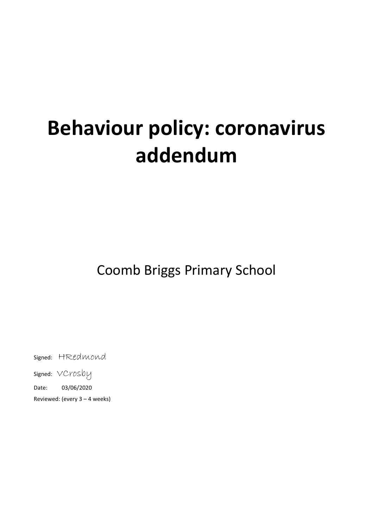# **Behaviour policy: coronavirus addendum**

Coomb Briggs Primary School

Signed: HRedmond

Signed: VCrosby

Date: 03/06/2020

Reviewed: (every 3 – 4 weeks)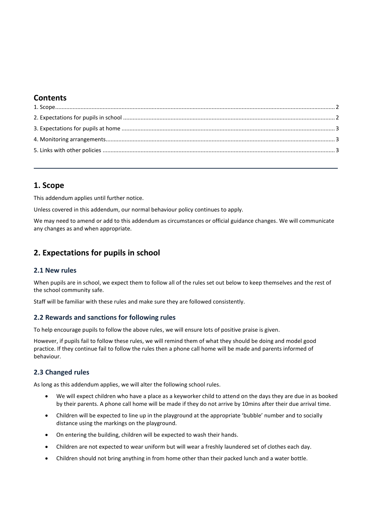## **Contents**

## <span id="page-1-0"></span>**1. Scope**

This addendum applies until further notice.

Unless covered in this addendum, our normal behaviour policy continues to apply.

We may need to amend or add to this addendum as circumstances or official guidance changes. We will communicate any changes as and when appropriate.

# <span id="page-1-1"></span>**2. Expectations for pupils in school**

## **2.1 New rules**

When pupils are in school, we expect them to follow all of the rules set out below to keep themselves and the rest of the school community safe.

Staff will be familiar with these rules and make sure they are followed consistently.

## **2.2 Rewards and sanctions for following rules**

To help encourage pupils to follow the above rules, we will ensure lots of positive praise is given.

However, if pupils fail to follow these rules, we will remind them of what they should be doing and model good practice. If they continue fail to follow the rules then a phone call home will be made and parents informed of behaviour.

## **2.3 Changed rules**

As long as this addendum applies, we will alter the following school rules.

- We will expect children who have a place as a keyworker child to attend on the days they are due in as booked by their parents. A phone call home will be made if they do not arrive by 10mins after their due arrival time.
- Children will be expected to line up in the playground at the appropriate 'bubble' number and to socially distance using the markings on the playground.
- On entering the building, children will be expected to wash their hands.
- Children are not expected to wear uniform but will wear a freshly laundered set of clothes each day.
- Children should not bring anything in from home other than their packed lunch and a water bottle.